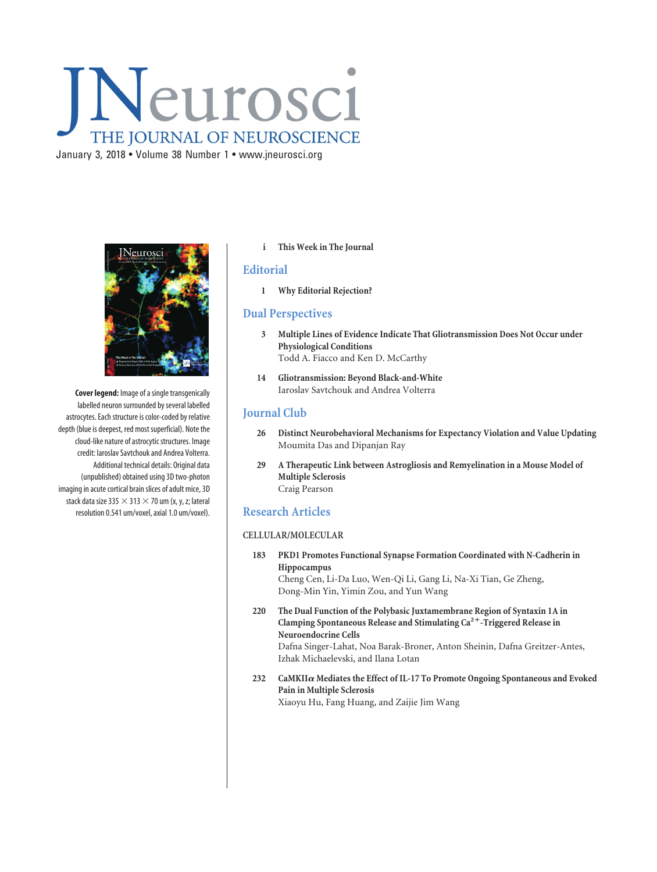# Neurosci THE JOURNAL OF NEUROSCIENCE

January 3, 2018 • Volume 38 Number 1 • www.jneurosci.org



**Cover legend:** Image of a single transgenically labelled neuron surrounded by several labelled astrocytes. Each structure is color-coded by relative depth (blue is deepest, red most superficial). Note the cloud-like nature of astrocytic structures. Image credit: Iaroslav Savtchouk and Andrea Volterra. Additional technical details: Original data (unpublished) obtained using 3D two-photon imaging in acute cortical brain slices of adult mice, 3D stack data size 335  $\times$  313  $\times$  70 um (x, y, z; lateral resolution 0.541 um/voxel, axial 1.0 um/voxel).

#### **i This Week in The Journal**

## **Editorial**

**1 Why Editorial Rejection?**

## **Dual Perspectives**

- **3 Multiple Lines of Evidence Indicate That Gliotransmission Does Not Occur under Physiological Conditions** Todd A. Fiacco and Ken D. McCarthy
- **14 Gliotransmission: Beyond Black-and-White** Iaroslav Savtchouk and Andrea Volterra

## **Journal Club**

- **26 Distinct Neurobehavioral Mechanisms for Expectancy Violation and Value Updating** Moumita Das and Dipanjan Ray
- **29 A Therapeutic Link between Astrogliosis and Remyelination in a Mouse Model of Multiple Sclerosis** Craig Pearson

## **Research Articles**

#### **CELLULAR/MOLECULAR**

- **183 PKD1 Promotes Functional Synapse Formation Coordinated with N-Cadherin in Hippocampus** Cheng Cen, Li-Da Luo, Wen-Qi Li, Gang Li, Na-Xi Tian, Ge Zheng, Dong-Min Yin, Yimin Zou, and Yun Wang
- **220 The Dual Function of the Polybasic Juxtamembrane Region of Syntaxin 1A in Clamping Spontaneous Release and Stimulating Ca2**-**-Triggered Release in Neuroendocrine Cells** Dafna Singer-Lahat, Noa Barak-Broner, Anton Sheinin, Dafna Greitzer-Antes,

Izhak Michaelevski, and Ilana Lotan

**232 CaMKII Mediates the Effect of IL-17 To Promote Ongoing Spontaneous and Evoked Pain in Multiple Sclerosis** Xiaoyu Hu, Fang Huang, and Zaijie Jim Wang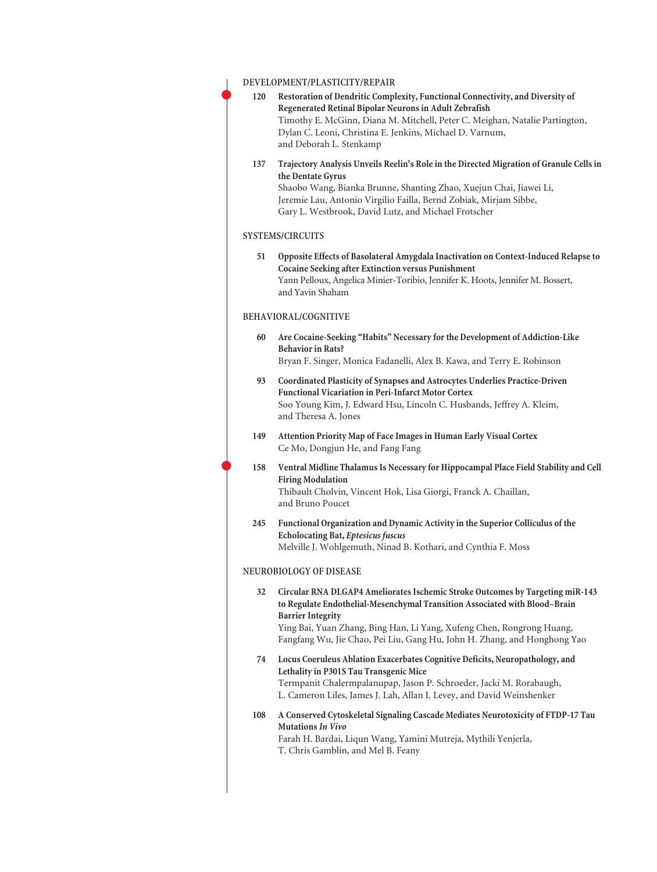| DEVELOPMENT/PLASTICITY/REPAIR |     |                                                                                                                                                                                                                                                                                                                                              |  |
|-------------------------------|-----|----------------------------------------------------------------------------------------------------------------------------------------------------------------------------------------------------------------------------------------------------------------------------------------------------------------------------------------------|--|
|                               | 120 | Restoration of Dendritic Complexity, Functional Connectivity, and Diversity of<br>Regenerated Retinal Bipolar Neurons in Adult Zebrafish<br>Timothy E. McGinn, Diana M. Mitchell, Peter C. Meighan, Natalie Partington,<br>Dylan C. Leoni, Christina E. Jenkins, Michael D. Varnum,<br>and Deborah L. Stenkamp                               |  |
|                               | 137 | Trajectory Analysis Unveils Reelin's Role in the Directed Migration of Granule Cells in<br>the Dentate Gyrus<br>Shaobo Wang, Bianka Brunne, Shanting Zhao, Xuejun Chai, Jiawei Li,<br>Jeremie Lau, Antonio Virgilio Failla, Bernd Zobiak, Mirjam Sibbe,<br>Gary L. Westbrook, David Lutz, and Michael Frotscher                              |  |
|                               |     | <b>SYSTEMS/CIRCUITS</b>                                                                                                                                                                                                                                                                                                                      |  |
|                               | 51  | Opposite Effects of Basolateral Amygdala Inactivation on Context-Induced Relapse to<br><b>Cocaine Seeking after Extinction versus Punishment</b><br>Yann Pelloux, Angelica Minier-Toribio, Jennifer K. Hoots, Jennifer M. Bossert,<br>and Yavin Shaham                                                                                       |  |
|                               |     | BEHAVIORAL/COGNITIVE                                                                                                                                                                                                                                                                                                                         |  |
|                               | 60  | Are Cocaine-Seeking "Habits" Necessary for the Development of Addiction-Like<br><b>Behavior in Rats?</b><br>Bryan F. Singer, Monica Fadanelli, Alex B. Kawa, and Terry E. Robinson                                                                                                                                                           |  |
|                               | 93  | Coordinated Plasticity of Synapses and Astrocytes Underlies Practice-Driven<br><b>Functional Vicariation in Peri-Infarct Motor Cortex</b><br>Soo Young Kim, J. Edward Hsu, Lincoln C. Husbands, Jeffrey A. Kleim,<br>and Theresa A. Jones                                                                                                    |  |
|                               | 149 | Attention Priority Map of Face Images in Human Early Visual Cortex<br>Ce Mo, Dongjun He, and Fang Fang                                                                                                                                                                                                                                       |  |
|                               | 158 | Ventral Midline Thalamus Is Necessary for Hippocampal Place Field Stability and Cell<br><b>Firing Modulation</b><br>Thibault Cholvin, Vincent Hok, Lisa Giorgi, Franck A. Chaillan,<br>and Bruno Poucet                                                                                                                                      |  |
|                               | 245 | Functional Organization and Dynamic Activity in the Superior Colliculus of the<br><b>Echolocating Bat, Eptesicus fuscus</b><br>Melville J. Wohlgemuth, Ninad B. Kothari, and Cynthia F. Moss                                                                                                                                                 |  |
|                               |     | NEUROBIOLOGY OF DISEASE                                                                                                                                                                                                                                                                                                                      |  |
|                               | 32  | Circular RNA DLGAP4 Ameliorates Ischemic Stroke Outcomes by Targeting miR-143<br>to Regulate Endothelial-Mesenchymal Transition Associated with Blood-Brain<br><b>Barrier Integrity</b><br>Ying Bai, Yuan Zhang, Bing Han, Li Yang, Xufeng Chen, Rongrong Huang,<br>Fangfang Wu, Jie Chao, Pei Liu, Gang Hu, John H. Zhang, and Honghong Yao |  |
|                               | 74  | Locus Coeruleus Ablation Exacerbates Cognitive Deficits, Neuropathology, and<br>Lethality in P301S Tau Transgenic Mice<br>Termpanit Chalermpalanupap, Jason P. Schroeder, Jacki M. Rorabaugh,<br>L. Cameron Liles, James J. Lah, Allan I. Levey, and David Weinshenker                                                                       |  |
|                               | 108 | A Conserved Cytoskeletal Signaling Cascade Mediates Neurotoxicity of FTDP-17 Tau<br>Mutations In Vivo<br>Farah H. Bardai, Liqun Wang, Yamini Mutreja, Mythili Yenjerla,<br>T. Chris Gamblin, and Mel B. Feany                                                                                                                                |  |

 $\bullet$ 

 $\bullet$